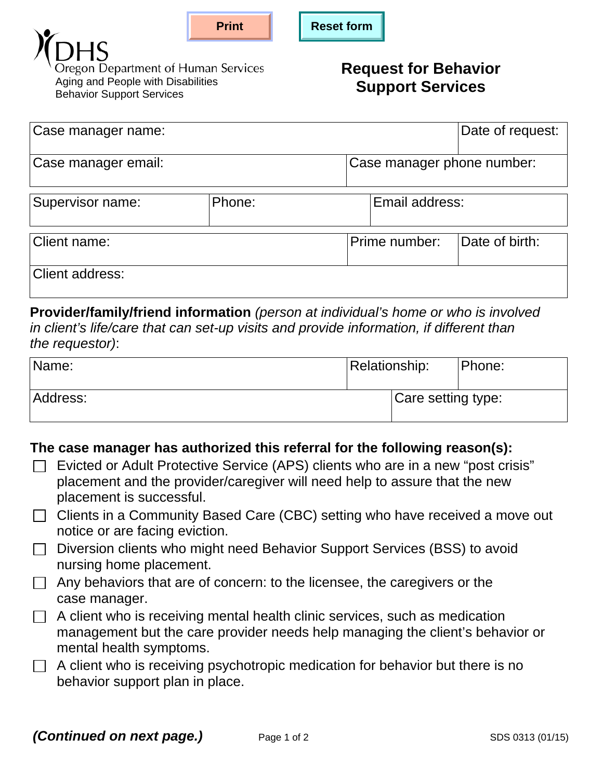



**Dregon Department of Human Services** Aging and People with Disabilities Behavior Support Services

## **Request for Behavior Support Services**

| Case manager name:  |        |                            | Date of request: |  |
|---------------------|--------|----------------------------|------------------|--|
| Case manager email: |        | Case manager phone number: |                  |  |
| Supervisor name:    | Phone: | Email address:             |                  |  |
| Client name:        |        | Prime number:              | Date of birth:   |  |
| Client address:     |        |                            |                  |  |

**Provider/family/friend information** *(person at individual's home or who is involved in client's life/care that can set-up visits and provide information, if different than the requestor)*:

| Name:    | Relationship:      | Phone: |
|----------|--------------------|--------|
| Address: | Care setting type: |        |

## **The case manager has authorized this referral for the following reason(s):**

- $\Box$  Evicted or Adult Protective Service (APS) clients who are in a new "post crisis" placement and the provider/caregiver will need help to assure that the new placement is successful.
- $\Box$  Clients in a Community Based Care (CBC) setting who have received a move out notice or are facing eviction.
- □ Diversion clients who might need Behavior Support Services (BSS) to avoid nursing home placement.
- $\Box$  Any behaviors that are of concern: to the licensee, the caregivers or the case manager.
- $\Box$  A client who is receiving mental health clinic services, such as medication management but the care provider needs help managing the client's behavior or mental health symptoms.
- $\Box$  A client who is receiving psychotropic medication for behavior but there is no behavior support plan in place.